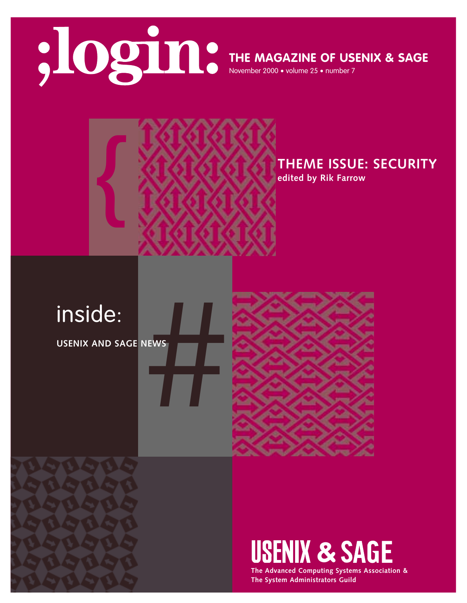

**THE MAGAZINE OF USENIX & SAGE**

November 2000 • volume 25 • number 7



**THEME ISSUE: SECURITY**

**edited by Rik Farrow**

**USENIX AND SAGE NEWS**





# **USENIX & SAGE**

**The Advanced Computing Systems Association & The System Administrators Guild**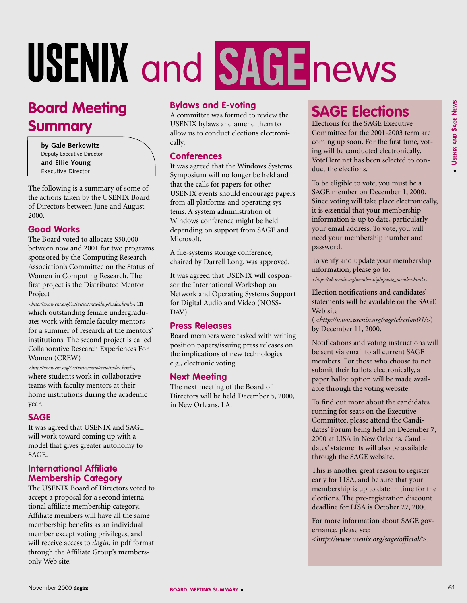# and **SAGE**news

# **Board Meeting Summary**

**by Gale Berkowitz** Deputy Executive Director **and Ellie Young** Executive Director

The following is a summary of some of the actions taken by the USENIX Board of Directors between June and August 2000.

#### **Good Works**

The Board voted to allocate \$50,000 between now and 2001 for two programs sponsored by the Computing Research Association's Committee on the Status of Women in Computing Research. The first project is the Distributed Mentor Project

*[<http://www.cra.org/Activities/craw/dmp/index.html>](http://www.cra.org/Activities/craw/dmp/index.html>,in)*, in which outstanding female undergraduates work with female faculty mentors for a summer of research at the mentors' institutions. The second project is called Collaborative Research Experiences For Women (CREW)

*[<http://www.cra.org/Activities/craw/crew/index.html>](http://www.cra.org/Activities/craw/crew/index.html)*, where students work in collaborative teams with faculty mentors at their home institutions during the academic year.

#### **SAGE**

It was agreed that USENIX and SAGE will work toward coming up with a model that gives greater autonomy to SAGE.

#### **International Affiliate Membership Category**

The USENIX Board of Directors voted to accept a proposal for a second international affiliate membership category. Affiliate members will have all the same membership benefits as an individual member except voting privileges, and will receive access to *;login:* in pdf format through the Affiliate Group's membersonly Web site.

#### **Bylaws and E-voting**

A committee was formed to review the USENIX bylaws and amend them to allow us to conduct elections electronically.

#### **Conferences**

It was agreed that the Windows Systems Symposium will no longer be held and that the calls for papers for other USENIX events should encourage papers from all platforms and operating systems. A system administration of Windows conference might be held depending on support from SAGE and Microsoft.

A file-systems storage conference, chaired by Darrell Long, was approved.

It was agreed that USENIX will cosponsor the International Workshop on Network and Operating Systems Support for Digital Audio and Video (NOSS-DAV).

#### **Press Releases**

Board members were tasked with writing position papers/issuing press releases on the implications of new technologies e.g., electronic voting.

#### **Next Meeting**

The next meeting of the Board of Directors will be held December 5, 2000, in New Orleans, LA.

# **SAGE Elections**

Elections for the SAGE Executive Committee for the 2001-2003 term are coming up soon. For the first time, voting will be conducted electronically. VoteHere.net has been selected to conduct the elections.

To be eligible to vote, you must be a SAGE member on December 1, 2000. Since voting will take place electronically, it is essential that your membership information is up to date, particularly your email address. To vote, you will need your membership number and password.

To verify and update your membership information, please go to:

*[<https://db.usenix.org/membership/update\\_member.html>](https://db.usenix.org/membership/update_member.html)*.

Election notifications and candidates' statements will be available on the SAGE Web site

(*[<http://www.usenix.org/sage/election01/>](http://www.usenix.org/sage/election01/)*) by December 11, 2000.

Notifications and voting instructions will be sent via email to all current SAGE members. For those who choose to not submit their ballots electronically, a paper ballot option will be made available through the voting website.

To find out more about the candidates running for seats on the Executive Committee, please attend the Candidates' Forum being held on December 7, 2000 at LISA in New Orleans. Candidates' statements will also be available through the SAGE website.

This is another great reason to register early for LISA, and be sure that your membership is up to date in time for the elections. The pre-registration discount deadline for LISA is October 27, 2000.

For more information about SAGE governance, please see: *[<http://www.usenix.org/sage/official/>](http://www.usenix.org/sage/official/)*.